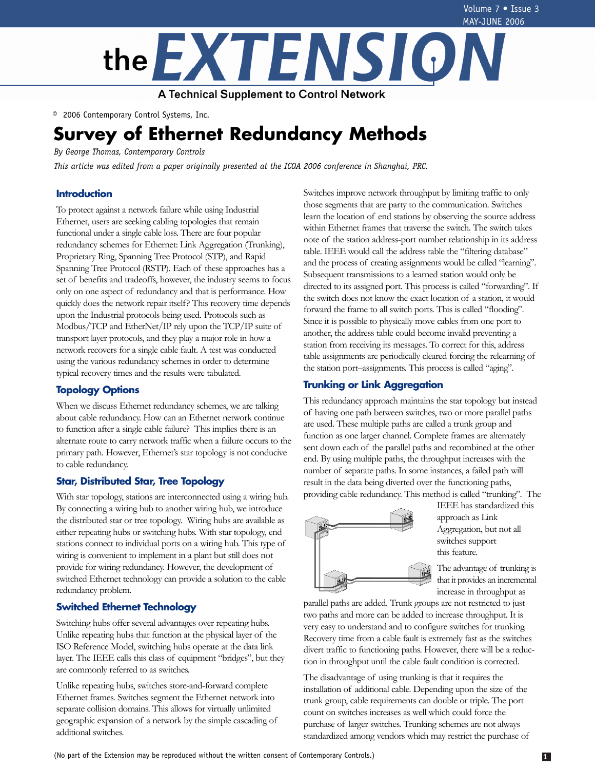

© 2006 Contemporary Control Systems, Inc.

# **Survey of Ethernet Redundancy Methods**

*By George Thomas, Contemporary Controls*

*This article was edited from a paper originally presented at the ICOA 2006 conference in Shanghai, PRC.*

# **Introduction**

To protect against a network failure while using Industrial Ethernet, users are seeking cabling topologies that remain functional under a single cable loss. There are four popular redundancy schemes for Ethernet: Link Aggregation (Trunking), Proprietary Ring, Spanning Tree Protocol (STP), and Rapid Spanning Tree Protocol (RSTP). Each of these approaches has a set of benefits and tradeoffs, however, the industry seems to focus only on one aspect of redundancy and that is performance. How quickly does the network repair itself? This recovery time depends upon the Industrial protocols being used. Protocols such as Modbus/TCP and EtherNet/IP rely upon the TCP/IP suite of transport layer protocols, and they play a major role in how a network recovers for a single cable fault. A test was conducted using the various redundancy schemes in order to determine typical recovery times and the results were tabulated.

# **Topology Options**

When we discuss Ethernet redundancy schemes, we are talking about cable redundancy. How can an Ethernet network continue to function after a single cable failure? This implies there is an alternate route to carry network traffic when a failure occurs to the primary path. However, Ethernet's star topology is not conducive to cable redundancy.

# **Star, Distributed Star, Tree Topology**

With star topology, stations are interconnected using a wiring hub. By connecting a wiring hub to another wiring hub, we introduce the distributed star or tree topology. Wiring hubs are available as either repeating hubs or switching hubs. With star topology, end stations connect to individual ports on a wiring hub. This type of wiring is convenient to implement in a plant but still does not provide for wiring redundancy. However, the development of switched Ethernet technology can provide a solution to the cable redundancy problem.

# **Switched Ethernet Technology**

Switching hubs offer several advantages over repeating hubs. Unlike repeating hubs that function at the physical layer of the ISO Reference Model, switching hubs operate at the data link layer. The IEEE calls this class of equipment "bridges", but they are commonly referred to as switches.

Unlike repeating hubs, switches store-and-forward complete Ethernet frames. Switches segment the Ethernet network into separate collision domains. This allows for virtually unlimited geographic expansion of a network by the simple cascading of additional switches.

Switches improve network throughput by limiting traffic to only those segments that are party to the communication. Switches learn the location of end stations by observing the source address within Ethernet frames that traverse the switch. The switch takes note of the station address-port number relationship in its address table. IEEE would call the address table the "filtering database" and the process of creating assignments would be called "learning". Subsequent transmissions to a learned station would only be directed to its assigned port. This process is called "forwarding". If the switch does not know the exact location of a station, it would forward the frame to all switch ports. This is called "flooding". Since it is possible to physically move cables from one port to another, the address table could become invalid preventing a station from receiving its messages. To correct for this, address table assignments are periodically cleared forcing the relearning of the station port–assignments. This process is called "aging".

# **Trunking or Link Aggregation**

This redundancy approach maintains the star topology but instead of having one path between switches, two or more parallel paths are used. These multiple paths are called a trunk group and function as one larger channel. Complete frames are alternately sent down each of the parallel paths and recombined at the other end. By using multiple paths, the throughput increases with the number of separate paths. In some instances, a failed path will result in the data being diverted over the functioning paths, providing cable redundancy. This method is called "trunking". The



IEEE has standardized this approach as Link Aggregation, but not all switches support this feature.

The advantage of trunking is that it provides an incremental increase in throughput as

parallel paths are added. Trunk groups are not restricted to just two paths and more can be added to increase throughput. It is very easy to understand and to configure switches for trunking. Recovery time from a cable fault is extremely fast as the switches divert traffic to functioning paths. However, there will be a reduction in throughput until the cable fault condition is corrected.

The disadvantage of using trunking is that it requires the installation of additional cable. Depending upon the size of the trunk group, cable requirements can double or triple. The port count on switches increases as well which could force the purchase of larger switches. Trunking schemes are not always standardized among vendors which may restrict the purchase of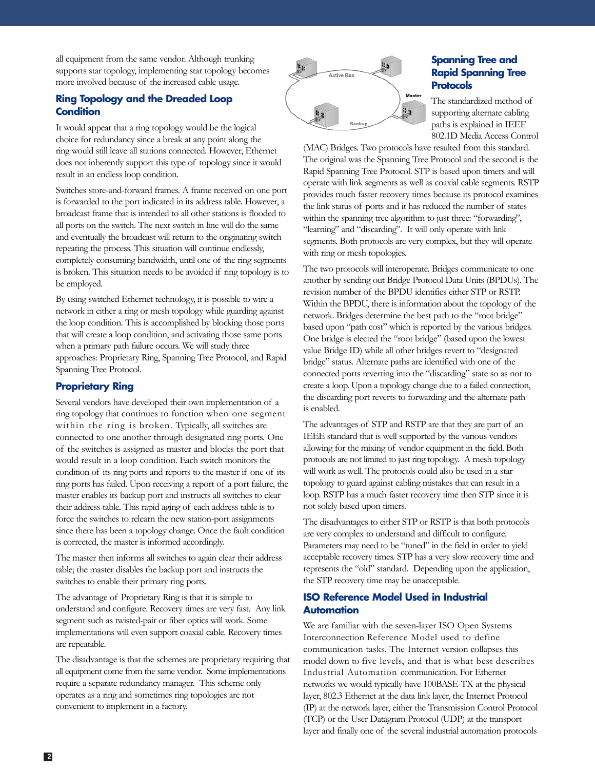all equipment from the same vendor. Although trunking supports star topology, implementing star topology becomes more involved because of the increased cable usage.

# **Ring Topology and the Dreaded Loop Condition**

It would appear that a ring topology would be the logical choice for redundancy since a break at any point along the ring would still leave all stations connected. However, Ethernet does not inherently support this type of topology since it would result in an endless loop condition.

Switches store-and-forward frames. A frame received on one port is forwarded to the port indicated in its address table. However, a broadcast frame that is intended to all other stations is flooded to all ports on the switch. The next switch in line will do the same and eventually the broadcast will return to the originating switch repeating the process. This situation will continue endlessly, completely consuming bandwidth, until one of the ring segments is broken. This situation needs to be avoided if ring topology is to be employed.

By using switched Ethernet technology, it is possible to wire a network in either a ring or mesh topology while guarding against the loop condition. This is accomplished by blocking those ports that will create a loop condition, and activating those same ports when a primary path failure occurs. We will study three approaches: Proprietary Ring, Spanning Tree Protocol, and Rapid Spanning Tree Protocol.

# **Proprietary Ring**

Several vendors have developed their own implementation of a ring topology that continues to function when one segment within the ring is broken. Typically, all switches are connected to one another through designated ring ports. One of the switches is assigned as master and blocks the port that would result in a loop condition. Each switch monitors the condition of its ring ports and reports to the master if one of its ring ports has failed. Upon receiving a report of a port failure, the master enables its backup port and instructs all switches to clear their address table. This rapid aging of each address table is to force the switches to relearn the new station-port assignments since there has been a topology change. Once the fault condition is corrected, the master is informed accordingly.

The master then informs all switches to again clear their address table; the master disables the backup port and instructs the switches to enable their primary ring ports.

The advantage of Proprietary Ring is that it is simple to understand and configure. Recovery times are very fast. Any link segment such as twisted-pair or fiber optics will work. Some implementations will even support coaxial cable. Recovery times are repeatable.

The disadvantage is that the schemes are proprietary requiring that all equipment come from the same vendor. Some implementations require a separate redundancy manager. This scheme only operates as a ring and sometimes ring topologies are not convenient to implement in a factory.



# **Spanning Tree and Rapid Spanning Tree Protocols**

The standardized method of supporting alternate cabling paths is explained in IEEE 802.1D Media Access Control

(MAC) Bridges. Two protocols have resulted from this standard. The original was the Spanning Tree Protocol and the second is the Rapid Spanning Tree Protocol. STP is based upon timers and will operate with link segments as well as coaxial cable segments. RSTP provides much faster recovery times because its protocol examines the link status of ports and it has reduced the number of states within the spanning tree algorithm to just three: "forwarding", "learning" and "discarding". It will only operate with link segments. Both protocols are very complex, but they will operate with ring or mesh topologies.

The two protocols will interoperate. Bridges communicate to one another by sending out Bridge Protocol Data Units (BPDUs). The revision number of the BPDU identifies either STP or RSTP. Within the BPDU, there is information about the topology of the network. Bridges determine the best path to the "root bridge" based upon "path cost" which is reported by the various bridges. One bridge is elected the "root bridge" (based upon the lowest value Bridge ID) while all other bridges revert to "designated bridge" status. Alternate paths are identified with one of the connected ports reverting into the "discarding" state so as not to create a loop. Upon a topology change due to a failed connection, the discarding port reverts to forwarding and the alternate path is enabled.

The advantages of STP and RSTP are that they are part of an IEEE standard that is well supported by the various vendors allowing for the mixing of vendor equipment in the field. Both protocols are not limited to just ring topology. A mesh topology will work as well. The protocols could also be used in a star topology to guard against cabling mistakes that can result in a loop. RSTP has a much faster recovery time then STP since it is not solely based upon timers.

The disadvantages to either STP or RSTP is that both protocols are very complex to understand and difficult to configure. Parameters may need to be "tuned" in the field in order to yield acceptable recovery times. STP has a very slow recovery time and represents the "old" standard. Depending upon the application, the STP recovery time may be unacceptable.

# **ISO Reference Model Used in Industrial Automation**

We are familiar with the seven-layer ISO Open Systems Interconnection Reference Model used to define communication tasks. The Internet version collapses this model down to five levels, and that is what best describes Industrial Automation communication. For Ethernet networks we would typically have 100BASE-TX at the physical layer, 802.3 Ethernet at the data link layer, the Internet Protocol (IP) at the network layer, either the Transmission Control Protocol (TCP) or the User Datagram Protocol (UDP) at the transport layer and finally one of the several industrial automation protocols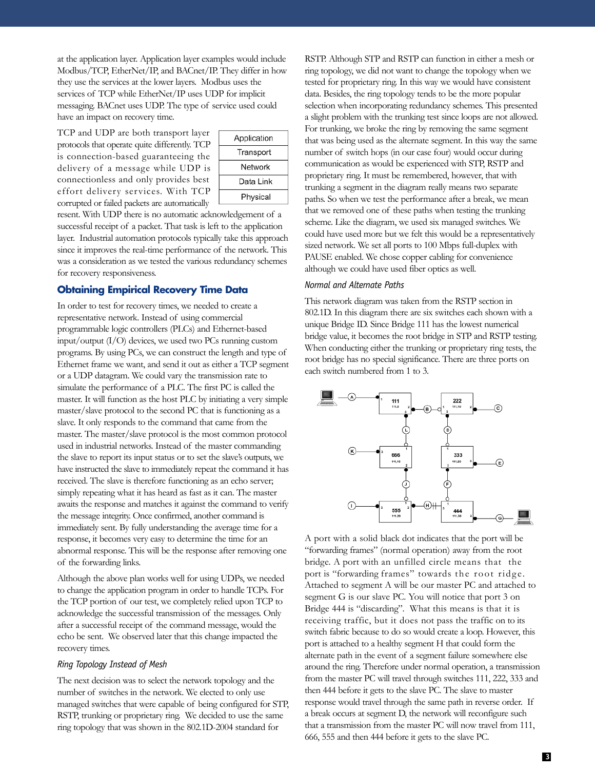at the application layer. Application layer examples would include Modbus/TCP, EtherNet/IP, and BACnet/IP. They differ in how they use the services at the lower layers. Modbus uses the services of TCP while EtherNet/IP uses UDP for implicit messaging. BACnet uses UDP. The type of service used could have an impact on recovery time.

TCP and UDP are both transport layer protocols that operate quite differently. TCP is connection-based guaranteeing the delivery of a message while UDP is connectionless and only provides best effort delivery services. With TCP corrupted or failed packets are automatically

| Application |
|-------------|
| Transport   |
| Network     |
| Data Link   |
| Physical    |

resent. With UDP there is no automatic acknowledgement of a successful receipt of a packet. That task is left to the application layer. Industrial automation protocols typically take this approach since it improves the real-time performance of the network. This was a consideration as we tested the various redundancy schemes for recovery responsiveness.

### **Obtaining Empirical Recovery Time Data**

In order to test for recovery times, we needed to create a representative network. Instead of using commercial programmable logic controllers (PLCs) and Ethernet-based input/output (I/O) devices, we used two PCs running custom programs. By using PCs, we can construct the length and type of Ethernet frame we want, and send it out as either a TCP segment or a UDP datagram. We could vary the transmission rate to simulate the performance of a PLC. The first PC is called the master. It will function as the host PLC by initiating a very simple master/slave protocol to the second PC that is functioning as a slave. It only responds to the command that came from the master. The master/slave protocol is the most common protocol used in industrial networks. Instead of the master commanding the slave to report its input status or to set the slave's outputs, we have instructed the slave to immediately repeat the command it has received. The slave is therefore functioning as an echo server; simply repeating what it has heard as fast as it can. The master awaits the response and matches it against the command to verify the message integrity. Once confirmed, another command is immediately sent. By fully understanding the average time for a response, it becomes very easy to determine the time for an abnormal response. This will be the response after removing one of the forwarding links.

Although the above plan works well for using UDPs, we needed to change the application program in order to handle TCPs. For the TCP portion of our test, we completely relied upon TCP to acknowledge the successful transmission of the messages. Only after a successful receipt of the command message, would the echo be sent. We observed later that this change impacted the recovery times.

#### *Ring Topology Instead of Mesh*

The next decision was to select the network topology and the number of switches in the network. We elected to only use managed switches that were capable of being configured for STP, RSTP, trunking or proprietary ring. We decided to use the same ring topology that was shown in the 802.1D-2004 standard for

RSTP. Although STP and RSTP can function in either a mesh or ring topology, we did not want to change the topology when we tested for proprietary ring. In this way we would have consistent data. Besides, the ring topology tends to be the more popular selection when incorporating redundancy schemes. This presented a slight problem with the trunking test since loops are not allowed. For trunking, we broke the ring by removing the same segment that was being used as the alternate segment. In this way the same number of switch hops (in our case four) would occur during communication as would be experienced with STP, RSTP and proprietary ring. It must be remembered, however, that with trunking a segment in the diagram really means two separate paths. So when we test the performance after a break, we mean that we removed one of these paths when testing the trunking scheme. Like the diagram, we used six managed switches. We could have used more but we felt this would be a representatively sized network. We set all ports to 100 Mbps full-duplex with PAUSE enabled. We chose copper cabling for convenience although we could have used fiber optics as well.

#### *Normal and Alternate Paths*

This network diagram was taken from the RSTP section in 802.1D. In this diagram there are six switches each shown with a unique Bridge ID. Since Bridge 111 has the lowest numerical bridge value, it becomes the root bridge in STP and RSTP testing. When conducting either the trunking or proprietary ring tests, the root bridge has no special significance. There are three ports on each switch numbered from 1 to 3.



A port with a solid black dot indicates that the port will be "forwarding frames" (normal operation) away from the root bridge. A port with an unfilled circle means that the port is "forwarding frames" towards the root ridge. Attached to segment A will be our master PC and attached to segment G is our slave PC. You will notice that port 3 on Bridge 444 is "discarding". What this means is that it is receiving traffic, but it does not pass the traffic on to its switch fabric because to do so would create a loop. However, this port is attached to a healthy segment H that could form the alternate path in the event of a segment failure somewhere else around the ring. Therefore under normal operation, a transmission from the master PC will travel through switches 111, 222, 333 and then 444 before it gets to the slave PC. The slave to master response would travel through the same path in reverse order. If a break occurs at segment D, the network will reconfigure such that a transmission from the master PC will now travel from 111, 666, 555 and then 444 before it gets to the slave PC.